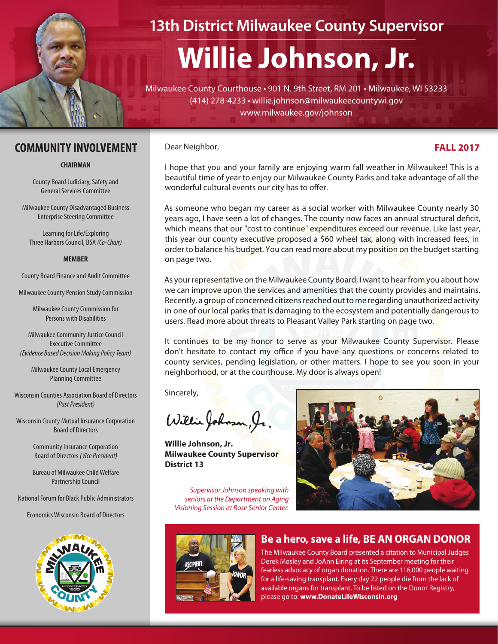

## **13th District Milwaukee County Supervisor**

# **Willie Johnson, Jr.**

Milwaukee County Courthouse • 901 N. 9th Street, RM 201 • Milwaukee, WI 53233 (414) 278-4233 • willie.johnson@milwaukeecountywi.gov www.milwaukee.gov/johnson

#### **COMMUNITY INVOLVEMENT** Dear Neighbor, **FALL 2017**

#### **CHAIRMAN**

County Board Judiciary, Safety and General Services Committee

Milwaukee County Disadvantaged Business Enterprise Steering Committee

Learning for Life/Exploring Three Harbors Council, BSA *(Co-Chair)*

#### **MEMBER**

County Board Finance and Audit Committee

Milwaukee County Pension Study Commission

Milwaukee County Commission for Persons with Disabilities

Milwaukee Community Justice Council Executive Committee *(Evidence Based Decision Making Policy Team)*

Milwaukee County Local Emergency Planning Committee

Wisconsin Counties Association Board of Directors *(Past President)*

Wisconsin County Mutual Insurance Corporation Board of Directors

> Community Insurance Corporation Board of Directors *(Vice President)*

> Bureau of Milwaukee Child Welfare Partnership Council

National Forum for Black Public Administrators

Economics Wisconsin Board of Directors



Dear Neighbor,

I hope that you and your family are enjoying warm fall weather in Milwaukee! This is a beautiful time of year to enjoy our Milwaukee County Parks and take advantage of all the wonderful cultural events our city has to offer.

As someone who began my career as a social worker with Milwaukee County nearly 30 years ago, I have seen a lot of changes. The county now faces an annual structural deficit, which means that our "cost to continue" expenditures exceed our revenue. Like last year, this year our county executive proposed a \$60 wheel tax, along with increased fees, in order to balance his budget. You can read more about my position on the budget starting on page two.

As your representative on the Milwaukee County Board, I want to hear from you about how we can improve upon the services and amenities that the county provides and maintains. Recently, a group of concerned citizens reached out to me regarding unauthorized activity in one of our local parks that is damaging to the ecosystem and potentially dangerous to users. Read more about threats to Pleasant Valley Park starting on page two.

It continues to be my honor to serve as your Milwaukee County Supervisor. Please don't hesitate to contact my office if you have any questions or concerns related to county services, pending legislation, or other matters. I hope to see you soon in your neighborhood, or at the courthouse. My door is always open!

Sincerely,

Willie Johnson, Ir

**Willie Johnson, Jr. Milwaukee County Supervisor District 13**

*Supervisor Johnson speaking with seniors at the Department on Aging Visioning Session at Rose Senior Center.*



### **Be a hero, save a life, BE AN ORGAN DONOR**

The Milwaukee County Board presented a citation to Municipal Judges Derek Mosley and JoAnn Eiring at its September meeting for their fearless advocacy of organ donation. There are 116,000 people waiting for a life-saving transplant. Every day 22 people die from the lack of available organs for transplant. To be listed on the Donor Registry, please go to: **www.DonateLifeWisconsin.org**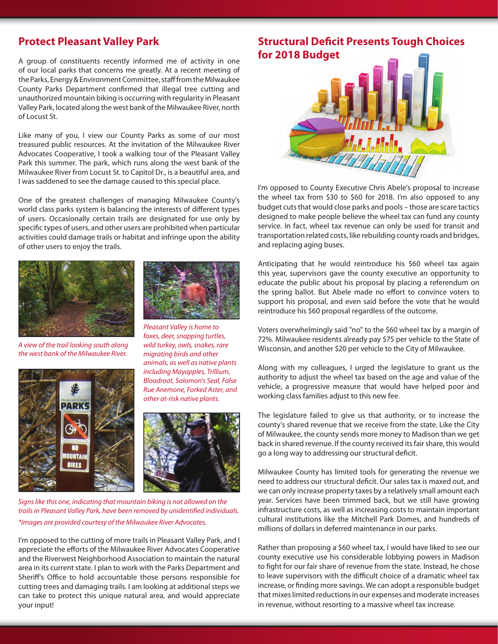#### **Protect Pleasant Valley Park**

A group of constituents recently informed me of activity in one of our local parks that concerns me greatly. At a recent meeting of the Parks, Energy & Environment Committee, staff from the Milwaukee County Parks Department confirmed that illegal tree cutting and unauthorized mountain biking is occurring with regularity in Pleasant Valley Park, located along the west bank of the Milwaukee River, north of Locust St.

Like many of you, I view our County Parks as some of our most treasured public resources. At the invitation of the Milwaukee River Advocates Cooperative, I took a walking tour of the Pleasant Valley Park this summer. The park, which runs along the west bank of the Milwaukee River from Locust St. to Capitol Dr., is a beautiful area, and I was saddened to see the damage caused to this special place.

One of the greatest challenges of managing Milwaukee County's world class parks system is balancing the interests of different types of users. Occasionally certain trails are designated for use only by specific types of users, and other users are prohibited when particular activities could damage trails or habitat and infringe upon the ability of other users to enjoy the trails.





*Pleasant Valley is home to foxes, deer, snapping turtles, wild turkey, owls, snakes, rare migrating birds and other animals, as well as native plants including Mayapples, Trillium, Bloodroot, Solomon's Seal, False Rue Anemone, Forked Aster, and other at-risk native plants.*

*A view of the trail looking south along the west bank of the Milwaukee River.*





*Signs like this one, indicating that mountain biking is not allowed on the trails in Pleasant Valley Park, have been removed by unidentified individuals. \*Images are provided courtesy of the Milwaukee River Advocates.*

I'm opposed to the cutting of more trails in Pleasant Valley Park, and I appreciate the efforts of the Milwaukee River Advocates Cooperative and the Riverwest Neighborhood Association to maintain the natural area in its current state. I plan to work with the Parks Department and Sheriff's Office to hold accountable those persons responsible for cutting trees and damaging trails. I am looking at additional steps we can take to protect this unique natural area, and would appreciate your input!

#### **Structural Deficit Presents Tough Choices for 2018 Budget**



I'm opposed to County Executive Chris Abele's proposal to increase the wheel tax from \$30 to \$60 for 2018. I'm also opposed to any budget cuts that would close parks and pools – those are scare tactics designed to make people believe the wheel tax can fund any county service. In fact, wheel tax revenue can only be used for transit and transportation related costs, like rebuilding county roads and bridges, and replacing aging buses.

Anticipating that he would reintroduce his \$60 wheel tax again this year, supervisors gave the county executive an opportunity to educate the public about his proposal by placing a referendum on the spring ballot. But Abele made no effort to convince voters to support his proposal, and even said before the vote that he would reintroduce his \$60 proposal regardless of the outcome.

Voters overwhelmingly said "no" to the \$60 wheel tax by a margin of 72%. Milwaukee residents already pay \$75 per vehicle to the State of Wisconsin, and another \$20 per vehicle to the City of Milwaukee.

Along with my colleagues, I urged the legislature to grant us the authority to adjust the wheel tax based on the age and value of the vehicle, a progressive measure that would have helped poor and working class families adjust to this new fee.

The legislature failed to give us that authority, or to increase the county's shared revenue that we receive from the state. Like the City of Milwaukee, the county sends more money to Madison than we get back in shared revenue. If the county received its fair share, this would go a long way to addressing our structural deficit.

Milwaukee County has limited tools for generating the revenue we need to address our structural deficit. Our sales tax is maxed out, and we can only increase property taxes by a relatively small amount each year. Services have been trimmed back, but we still have growing infrastructure costs, as well as increasing costs to maintain important cultural institutions like the Mitchell Park Domes, and hundreds of millions of dollars in deferred maintenance in our parks.

Rather than proposing a \$60 wheel tax, I would have liked to see our county executive use his considerable lobbying powers in Madison to fight for our fair share of revenue from the state. Instead, he chose to leave supervisors with the difficult choice of a dramatic wheel tax increase, or finding more savings. We can adopt a responsible budget that mixes limited reductions in our expenses and moderate increases in revenue, without resorting to a massive wheel tax increase.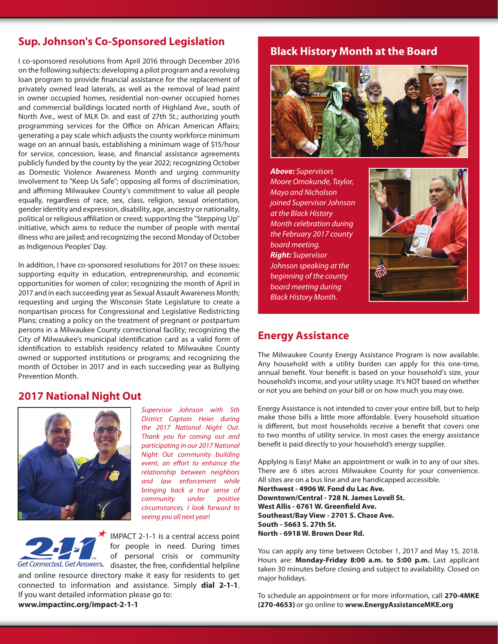#### **Sup. Johnson's Co-Sponsored Legislation**

I co-sponsored resolutions from April 2016 through December 2016 on the following subjects: developing a pilot program and a revolving loan program to provide financial assistance for the replacement of privately owned lead laterals, as well as the removal of lead paint in owner occupied homes, residential non-owner occupied homes and commercial buildings located north of Highland Ave., south of North Ave., west of MLK Dr. and east of 27th St.; authorizing youth programming services for the Office on African American Affairs; generating a pay scale which adjusts the county workforce minimum wage on an annual basis, establishing a minimum wage of \$15/hour for service, concession, lease, and financial assistance agreements publicly funded by the county by the year 2022; recognizing October as Domestic Violence Awareness Month and urging community involvement to "Keep Us Safe"; opposing all forms of discrimination, and affirming Milwaukee County's commitment to value all people equally, regardless of race, sex, class, religion, sexual orientation, gender identity and expression, disability, age, ancestry or nationality, political or religious affiliation or creed; supporting the "Stepping Up" initiative, which aims to reduce the number of people with mental illness who are jailed; and recognizing the second Monday of October as Indigenous Peoples' Day.

In addition, I have co-sponsored resolutions for 2017 on these issues: supporting equity in education, entrepreneurship, and economic opportunities for women of color; recognizing the month of April in 2017 and in each succeeding year as Sexual Assault Awareness Month; requesting and urging the Wisconsin State Legislature to create a nonpartisan process for Congressional and Legislative Redistricting Plans; creating a policy on the treatment of pregnant or postpartum persons in a Milwaukee County correctional facility; recognizing the City of Milwaukee's municipal identification card as a valid form of identification to establish residency related to Milwaukee County owned or supported institutions or programs; and recognizing the month of October in 2017 and in each succeeding year as Bullying Prevention Month.

#### **2017 National Night Out**



*Supervisor Johnson with 5th District Captain Heier during the 2017 National Night Out. Thank you for coming out and participating in our 2017 National Night Out community building event, an effort to enhance the relationship between neighbors and law enforcement while bringing back a true sense of community under positive circumstances. I look forward to seeing you all next year!*

IMPACT 2-1-1 is a central access point for people in need. During times of personal crisis or community Get Connected. Get Answers. disaster, the free, confidential helpline and online resource directory make it easy for residents to get connected to information and assistance. Simply **dial 2-1-1**. If you want detailed information please go to: **www.impactinc.org/impact-2-1-1**

#### **Black History Month at the Board**



*Above: Supervisors Moore Omokunde, Taylor, Mayo and Nicholson joined Supervisor Johnson at the Black History Month celebration during the February 2017 county board meeting. Right: Supervisor Johnson speaking at the beginning of the county board meeting during Black History Month.*



#### **Energy Assistance**

The Milwaukee County Energy Assistance Program is now available. Any household with a utility burden can apply for this one-time, annual benefit. Your benefit is based on your household's size, your household's income, and your utility usage. It's NOT based on whether or not you are behind on your bill or on how much you may owe.

Energy Assistance is not intended to cover your entire bill, but to help make those bills a little more affordable. Every household situation is different, but most households receive a benefit that covers one to two months of utility service. In most cases the energy assistance benefit is paid directly to your household's energy supplier.

Applying is Easy! Make an appointment or walk in to any of our sites. There are 6 sites across Milwaukee County for your convenience. All sites are on a bus line and are handicapped accessible. **Northwest - 4906 W. Fond du Lac Ave. Downtown/Central - 728 N. James Lovell St.**

**West Allis - 6761 W. Greenfield Ave. Southeast/Bay View - 2701 S. Chase Ave. South - 5663 S. 27th St. North - 6918 W. Brown Deer Rd.**

You can apply any time between October 1, 2017 and May 15, 2018. Hours are: **Monday-Friday 8:00 a.m. to 5:00 p.m.** Last applicant taken 30 minutes before closing and subject to availability. Closed on major holidays.

To schedule an appointment or for more information, call **270-4MKE (270-4653)** or go online to **www.EnergyAssistanceMKE.org**